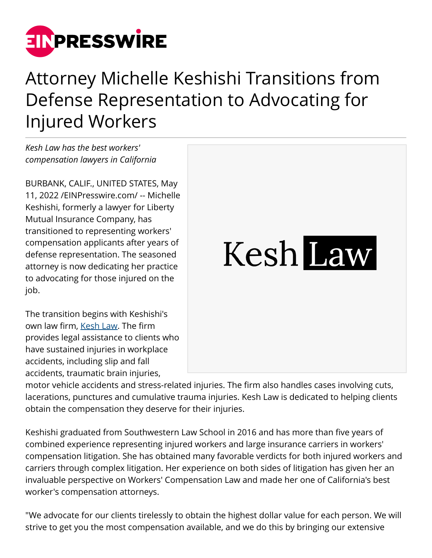

## Attorney Michelle Keshishi Transitions from Defense Representation to Advocating for Injured Workers

*Kesh Law has the best workers' compensation lawyers in California*

BURBANK, CALIF., UNITED STATES, May 11, 2022 /[EINPresswire.com/](http://www.einpresswire.com) -- Michelle Keshishi, formerly a lawyer for Liberty Mutual Insurance Company, has transitioned to representing workers' compensation applicants after years of defense representation. The seasoned attorney is now dedicating her practice to advocating for those injured on the job.

The transition begins with Keshishi's own law firm, [Kesh Law.](https://keshlaw.com/) The firm provides legal assistance to clients who have sustained injuries in workplace accidents, including slip and fall accidents, traumatic brain injuries,

Kesh Law

motor vehicle accidents and stress-related injuries. The firm also handles cases involving cuts, lacerations, punctures and cumulative trauma injuries. Kesh Law is dedicated to helping clients obtain the compensation they deserve for their injuries.

Keshishi graduated from Southwestern Law School in 2016 and has more than five years of combined experience representing injured workers and large insurance carriers in workers' compensation litigation. She has obtained many favorable verdicts for both injured workers and carriers through complex litigation. Her experience on both sides of litigation has given her an invaluable perspective on Workers' Compensation Law and made her one of California's best worker's compensation attorneys.

"We advocate for our clients tirelessly to obtain the highest dollar value for each person. We will strive to get you the most compensation available, and we do this by bringing our extensive